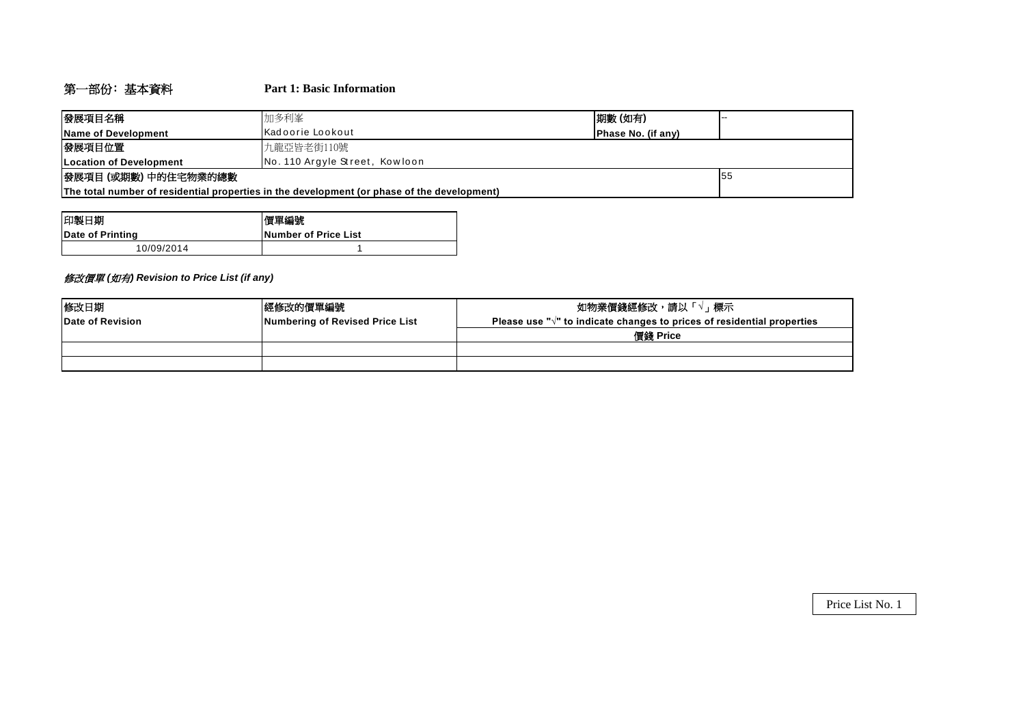# 第一部份﹕基本資料 **Part 1: Basic Information**

| 發展項目名稱                                                                                      | 期數(如有)<br>加多利峯                                 |  |  |  |  |  |  |  |
|---------------------------------------------------------------------------------------------|------------------------------------------------|--|--|--|--|--|--|--|
| Name of Development                                                                         | Kadoorie Lookout<br><b>IPhase No. (if any)</b> |  |  |  |  |  |  |  |
| 發展項目位置<br>九龍亞皆老街110號                                                                        |                                                |  |  |  |  |  |  |  |
| <b>ILocation of Development</b>                                                             | No. 110 Argyle Street, Kowloon                 |  |  |  |  |  |  |  |
| 發展項目 (或期數) 中的住宅物業的總數<br>155                                                                 |                                                |  |  |  |  |  |  |  |
| The total number of residential properties in the development (or phase of the development) |                                                |  |  |  |  |  |  |  |

| 印製日期             | 慣單編號                         |
|------------------|------------------------------|
| Date of Printing | <b>INumber of Price List</b> |
| 10/09/2014       |                              |

# 修改價單 *(*如有*) Revision to Price List (if any)*

| 修改日期             | 經修改的價單編號                        | 如物業價錢經修改,請以「、<br>「√」標示                                                            |
|------------------|---------------------------------|-----------------------------------------------------------------------------------|
| Date of Revision | Numbering of Revised Price List | Please use " $\sqrt{ }$ " to indicate changes to prices of residential properties |
|                  |                                 | 價錢 Price                                                                          |
|                  |                                 |                                                                                   |
|                  |                                 |                                                                                   |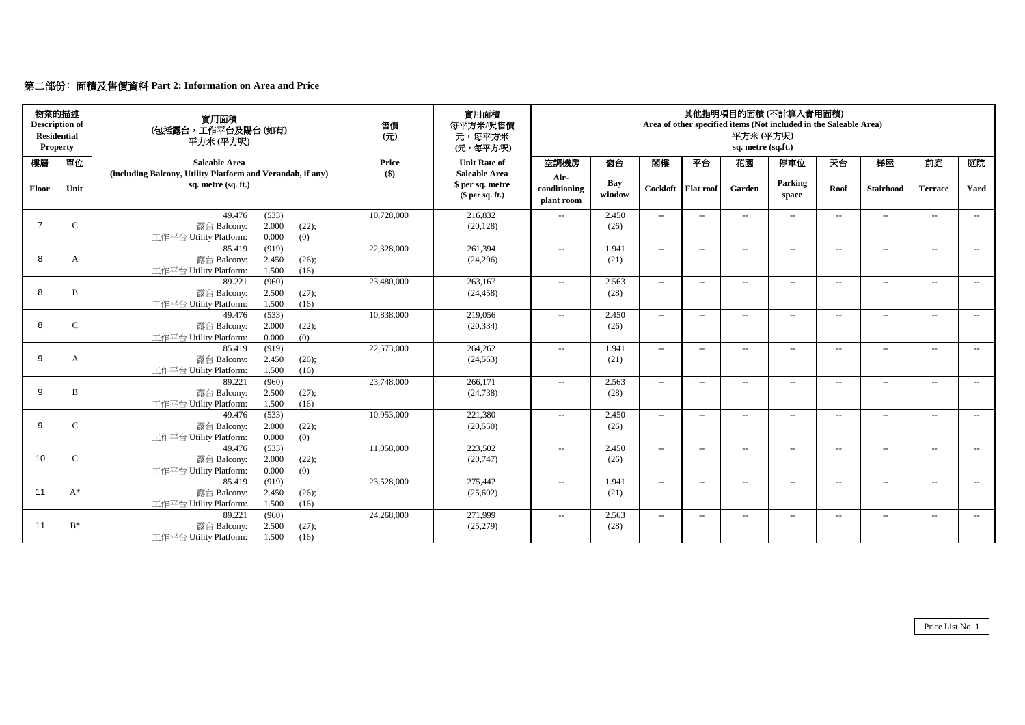# 第二部份﹕面積及售價資料 **Part 2: Information on Area and Price**

|                | 物業的描述<br><b>Description of</b><br><b>Residential</b><br><b>Property</b> | 實用面積<br>(包括露台,工作平台及陽台(如有)<br>平方米(平方呎)                                                          | 售價<br>$\overline{\pi}$ | 實用面積<br>每平方米/呎售價<br>元,每平方米<br>(元,每平方/呎)             | 其他指明項目的面積 (不計算入實用面積)<br>Area of other specified items (Not included in the Saleable Area)<br>平方米(平方呎)<br>sq. metre (sq.ft.) |               |                            |                          |                |                          |                          |                          |                          |                             |
|----------------|-------------------------------------------------------------------------|------------------------------------------------------------------------------------------------|------------------------|-----------------------------------------------------|-----------------------------------------------------------------------------------------------------------------------------|---------------|----------------------------|--------------------------|----------------|--------------------------|--------------------------|--------------------------|--------------------------|-----------------------------|
| 樓層             | 單位                                                                      | <b>Saleable Area</b>                                                                           | Price                  | <b>Unit Rate of</b>                                 | 空調機房                                                                                                                        | 窗台            | 閣樓                         | 平台                       | 花園             | 停車位                      | 天台                       | 梯屋                       | 前庭                       | 庭院                          |
| Floor          | Unit                                                                    | (including Balcony, Utility Platform and Verandah, if any)<br>sq. metre (sq. ft.)              | $($)$                  | Saleable Area<br>\$ per sq. metre<br>\$per sq. ft.) | Air-<br>conditioning<br>plant room                                                                                          | Bay<br>window | Cockloft                   | <b>Flat roof</b>         | Garden         | Parking<br>space         | Roof                     | <b>Stairhood</b>         | <b>Terrace</b>           | Yard                        |
| $\overline{7}$ | $\mathsf{C}$                                                            | 49.476<br>(533)<br>2.000<br>(22);<br>露台 Balcony:<br>0.000<br>(0)<br>工作平台 Utility Platform:     | 10,728,000             | 216,832<br>(20, 128)                                | $\overline{a}$                                                                                                              | 2.450<br>(26) | $\overline{\phantom{a}}$   | $\hspace{0.05cm} \ldots$ | $\overline{a}$ | $\overline{\phantom{a}}$ | $\sim$                   | $\hspace{0.05cm} -$      | $\sim$                   | $\sim$                      |
| 8              | A                                                                       | (919)<br>85.419<br>2.450<br>露台 Balcony:<br>(26);<br>1.500<br>工作平台 Utility Platform:<br>(16)    | 22,328,000             | 261,394<br>(24,296)                                 | $\sim$                                                                                                                      | 1.941<br>(21) | $\mathcal{L}_{\text{max}}$ | $\sim$                   | $\overline{a}$ | $\sim$                   | $\sim$                   | $\overline{\phantom{a}}$ | $\sim$                   | $\sim$                      |
| 8              | B                                                                       | 89.221<br>(960)<br>2.500<br>露台 Balcony:<br>$(27)$ ;<br>工作平台 Utility Platform:<br>1.500<br>(16) | 23,480,000             | 263,167<br>(24, 458)                                | $\sim$                                                                                                                      | 2.563<br>(28) | $\overline{\phantom{a}}$   | $\sim$                   | $\overline{a}$ | $\overline{\phantom{a}}$ | $\overline{\phantom{a}}$ | $\overline{\phantom{a}}$ | $\sim$                   | $\sim$                      |
| 8              | $\mathsf{C}$                                                            | (533)<br>49.476<br>2.000<br>(22);<br>露台 Balcony:<br>0.000<br>(0)<br>工作平台 Utility Platform:     | 10,838,000             | 219,056<br>(20, 334)                                | $\overline{a}$                                                                                                              | 2.450<br>(26) | $\mathbb{Z}^{\mathbb{Z}}$  | $\hspace{0.05cm} \ldots$ | $\overline{a}$ | $\hspace{0.05cm} \ldots$ | $\overline{\phantom{a}}$ | $\overline{a}$           | $\overline{\phantom{a}}$ | $\sim$                      |
| 9              | $\mathbf{A}$                                                            | 85.419<br>(919)<br>2.450<br>(26);<br>露台 Balcony:<br>1.500<br>工作平台 Utility Platform:<br>(16)    | 22,573,000             | 264,262<br>(24, 563)                                | $\sim$                                                                                                                      | 1.941<br>(21) | $\overline{\phantom{a}}$   | $\sim$                   | $\overline{a}$ | $\overline{\phantom{a}}$ | $\sim$                   | $\overline{\phantom{a}}$ | $\sim$                   | $\sim$                      |
| 9              | <sub>B</sub>                                                            | 89.221<br>(960)<br>2.500<br>(27);<br>露台 Balcony:<br>1.500<br>(16)<br>工作平台 Utility Platform:    | 23,748,000             | 266,171<br>(24, 738)                                | $\sim$                                                                                                                      | 2.563<br>(28) | $\sim$                     | $\sim$                   | $\sim$         | $\overline{\phantom{a}}$ | $\sim$                   | $\overline{\phantom{a}}$ | $\sim$                   | $\sim$                      |
| 9              | $\mathbf C$                                                             | (533)<br>49.476<br>2.000<br>(22);<br>露台 Balcony:<br>工作平台 Utility Platform:<br>0.000<br>(0)     | 10,953,000             | 221,380<br>(20, 550)                                | $\sim$                                                                                                                      | 2.450<br>(26) | $\sim$                     | $\sim$                   | $\overline{a}$ | $\sim$                   | $\sim$                   | $\sim$                   | $\sim$                   | $\sim$                      |
| 10             | $\mathcal{C}$                                                           | (533)<br>49.476<br>2.000<br>露台 Balcony:<br>(22);<br>0.000<br>工作平台 Utility Platform:<br>(0)     | 11,058,000             | 223,502<br>(20,747)                                 | $\sim$                                                                                                                      | 2.450<br>(26) | $\mathbf{u}$               | $\sim$                   |                | $\sim$                   | $\mathbf{u}$             | $\overline{a}$           | $\sim$                   | $\sim$                      |
| 11             | $A^*$                                                                   | 85.419<br>(919)<br>2.450<br>露台 Balcony:<br>(26);<br>1.500<br>工作平台 Utility Platform:<br>(16)    | 23,528,000             | 275,442<br>(25,602)                                 | $\sim$                                                                                                                      | 1.941<br>(21) | $\mathcal{L}_{\text{max}}$ | $\sim$                   | $\sim$         | $\sim$                   | $\sim$                   | $\overline{\phantom{a}}$ | $\sim$                   | $\sim$                      |
| 11             | $B^*$                                                                   | (960)<br>89.221<br>2.500<br>露台 Balcony:<br>(27);<br>1.500<br>工作平台 Utility Platform:<br>(16)    | 24,268,000             | 271,999<br>(25,279)                                 | $\overline{a}$                                                                                                              | 2.563<br>(28) | $\sim$                     | $\hspace{0.05cm} \ldots$ | $\overline{a}$ | $\overline{a}$           | $\overline{\phantom{a}}$ | $\overline{\phantom{a}}$ | $\overline{\phantom{a}}$ | $\mathcal{L}_{\mathcal{F}}$ |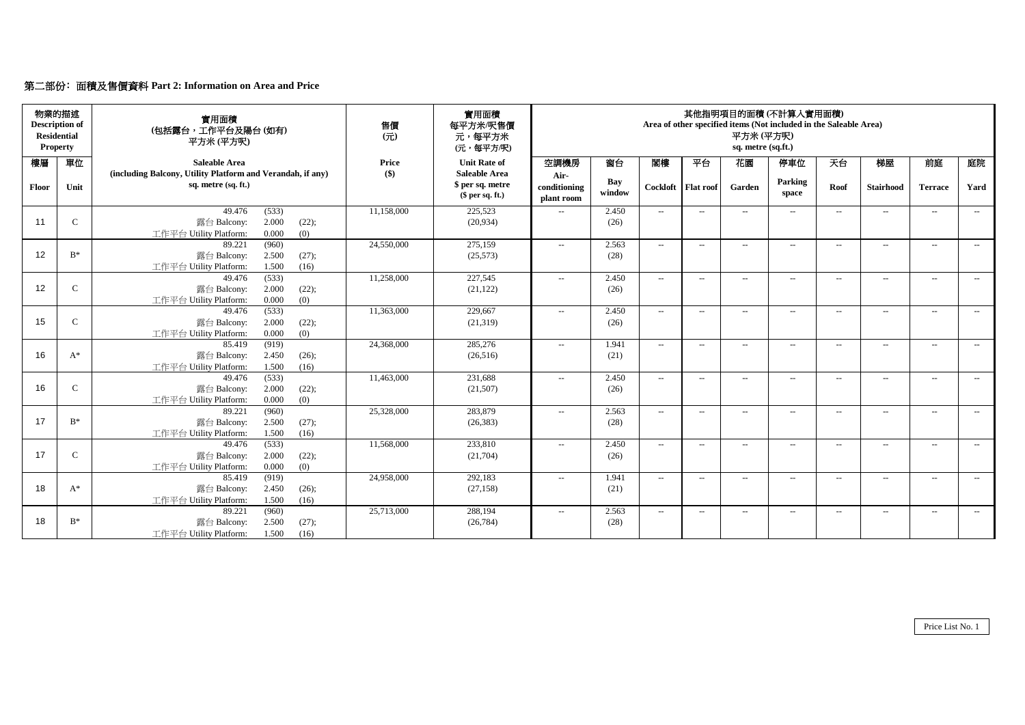# 第二部份﹕面積及售價資料 **Part 2: Information on Area and Price**

|       | 物業的描述<br><b>Description of</b><br><b>Residential</b><br><b>Property</b> | 實用面積<br>(包括露台,工作平台及陽台(如有)<br>平方米 (平方呎)                                                      | 售價<br>$\overline{\pi}$ | 實用面積<br>每平方米/呎售價<br>元,每平方米<br>(元,每平方/呎)               | 其他指明項目的面積(不計算入實用面積)<br>Area of other specified items (Not included in the Saleable Area)<br>平方米 (平方呎)<br>sq. metre (sq.ft.) |               |                             |                          |        |                          |                          |                          |                          |                             |
|-------|-------------------------------------------------------------------------|---------------------------------------------------------------------------------------------|------------------------|-------------------------------------------------------|-----------------------------------------------------------------------------------------------------------------------------|---------------|-----------------------------|--------------------------|--------|--------------------------|--------------------------|--------------------------|--------------------------|-----------------------------|
| 樓層    | 單位                                                                      | Saleable Area                                                                               | Price                  | <b>Unit Rate of</b>                                   | 空調機房                                                                                                                        | 窗台            | 閣樓                          | 平台                       | 花園     | 停車位                      | 天台                       | 梯屋                       | 前庭                       | 庭院                          |
| Floor | Unit                                                                    | (including Balcony, Utility Platform and Verandah, if any)<br>sq. metre (sq. ft.)           | $($ \$)                | Saleable Area<br>\$ per sq. metre<br>$$$ per sq. ft.) | Air-<br>conditioning<br>plant room                                                                                          | Bay<br>window | Cockloft   Flat roof        |                          | Garden | Parking<br>space         | Roof                     | <b>Stairhood</b>         | <b>Terrace</b>           | Yard                        |
| 11    | $\mathsf{C}$                                                            | 49.476<br>(533)<br>2.000<br>露台 Balcony:<br>(22);<br>0.000<br>(0)<br>工作平台 Utility Platform:  | 11,158,000             | 225,523<br>(20, 934)                                  | $\sim$                                                                                                                      | 2.450<br>(26) | $\sim$                      | $\hspace{0.05cm} \ldots$ | $\sim$ | $\overline{\phantom{a}}$ | $\sim$                   | $\overline{\phantom{a}}$ | $\sim$                   | $\sim$                      |
| 12    | $B^*$                                                                   | (960)<br>89.221<br>2.500<br>露台 Balcony:<br>(27);<br>工作平台 Utility Platform:<br>1.500<br>(16) | 24,550,000             | 275,159<br>(25,573)                                   | $\overline{a}$                                                                                                              | 2.563<br>(28) | $\sim$                      | $\hspace{0.05cm} \ldots$ | $\sim$ | $\overline{\phantom{a}}$ | $\overline{\phantom{a}}$ | $\overline{\phantom{a}}$ | $\overline{\phantom{a}}$ | $\sim$                      |
| 12    | $\mathcal{C}$                                                           | (533)<br>49.476<br>2.000<br>(22);<br>露台 Balcony:<br>0.000<br>(0)<br>工作平台 Utility Platform:  | 11,258,000             | 227,545<br>(21, 122)                                  | $\sim$                                                                                                                      | 2.450<br>(26) | $\mathcal{L}_{\mathcal{L}}$ | $\sim$ $\sim$            | $\sim$ | $\sim$                   | $\sim$                   | $\sim$                   | $\overline{\phantom{a}}$ | $\mathcal{L}_{\mathcal{L}}$ |
| 15    | $\mathcal{C}$                                                           | (533)<br>49.476<br>2.000<br>(22);<br>露台 Balcony:<br>0.000<br>工作平台 Utility Platform:<br>(0)  | 11,363,000             | 229,667<br>(21,319)                                   | $\sim$                                                                                                                      | 2.450<br>(26) | $\sim$                      | $\sim$ $\sim$            | $\sim$ | $\sim$                   | $\overline{\phantom{a}}$ | $\sim$                   | $\sim$                   | $\sim$                      |
| 16    | $A^*$                                                                   | 85.419<br>(919)<br>2.450<br>露台 Balcony:<br>(26);<br>1.500<br>工作平台 Utility Platform:<br>(16) | 24,368,000             | 285,276<br>(26,516)                                   | $\overline{a}$                                                                                                              | 1.941<br>(21) | $\sim$                      | $\sim$ $\sim$            | $\sim$ | $\overline{\phantom{a}}$ | $\sim$                   | $\sim$                   | $\sim$                   | $\sim$                      |
| 16    | $\mathbf C$                                                             | (533)<br>49.476<br>2.000<br>露台 Balcony:<br>(22);<br>0.000<br>(0)<br>工作平台 Utility Platform:  | 11,463,000             | 231,688<br>(21,507)                                   | $\sim$                                                                                                                      | 2.450<br>(26) | $\mathcal{L}_{\text{max}}$  | $\sim$ $\sim$            | $\sim$ | $\sim$                   | $\sim$                   | $\sim$                   | $\sim$                   | $\mathcal{L}(\mathcal{L})$  |
| 17    | $B^*$                                                                   | 89.221<br>(960)<br>2.500<br>(27);<br>露台 Balcony:<br>工作平台 Utility Platform:<br>1.500<br>(16) | 25,328,000             | 283,879<br>(26, 383)                                  | $\sim$                                                                                                                      | 2.563<br>(28) | $\mathcal{L}_{\mathcal{L}}$ | $\sim$ $\sim$            | $\sim$ | $\sim$                   | $\sim$                   | $\sim$                   | $\overline{\phantom{a}}$ | $\mathcal{L}_{\mathcal{L}}$ |
| 17    | $\mathcal{C}$                                                           | (533)<br>49.476<br>2.000<br>露台 Balcony:<br>(22);<br>0.000<br>工作平台 Utility Platform:<br>(0)  | 11,568,000             | 233,810<br>(21,704)                                   | $\sim$                                                                                                                      | 2.450<br>(26) | $\sim$                      | $\overline{\phantom{a}}$ | $\sim$ | $\sim$                   | $\sim$                   | $\sim$                   | $\overline{\phantom{a}}$ | $\sim$                      |
| 18    | $A^*$                                                                   | (919)<br>85.419<br>2.450<br>露台 Balcony:<br>(26);<br>1.500<br>工作平台 Utility Platform:<br>(16) | 24,958,000             | 292,183<br>(27, 158)                                  | $\overline{a}$                                                                                                              | 1.941<br>(21) | $\sim$                      | $\overline{a}$           | $\sim$ | $\sim$                   | $\sim$                   | $\sim$                   | $\sim$                   | $\sim$                      |
| 18    | $\mathbf{B}^*$                                                          | (960)<br>89.221<br>2.500<br>露台 Balcony:<br>(27);<br>工作平台 Utility Platform:<br>1.500<br>(16) | 25,713,000             | 288,194<br>(26, 784)                                  | $\overline{a}$                                                                                                              | 2.563<br>(28) | $\sim$                      | $\hspace{0.05cm} \ldots$ | $\sim$ | $\sim$                   | $\sim$                   | $\overline{\phantom{a}}$ | $\sim$                   | $\sim$                      |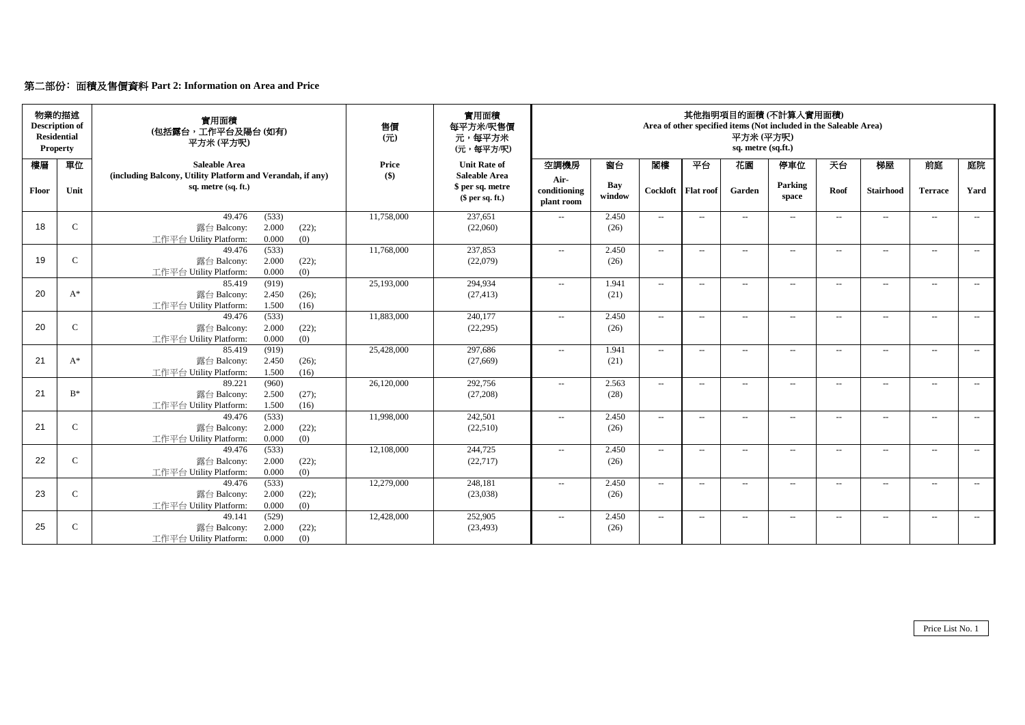# 第二部份﹕面積及售價資料 **Part 2: Information on Area and Price**

|       | 物業的描述<br><b>Description of</b><br><b>Residential</b><br><b>Property</b> | 實用面積<br>(包括露台,工作平台及陽台(如有)<br>平方米(平方呎)                                                       | 售價<br>$\overline{\pi}$ | 實用面積<br>每平方米/呎售價<br>元,每平方米<br>(元,每平方/呎)                      | 其他指明項目的面積(不計算入實用面積)<br>Area of other specified items (Not included in the Saleable Area)<br>平方米(平方呎)<br>sq. metre (sq.ft.) |               |                            |                          |                |                          |                                                     |                          |                          |                          |
|-------|-------------------------------------------------------------------------|---------------------------------------------------------------------------------------------|------------------------|--------------------------------------------------------------|----------------------------------------------------------------------------------------------------------------------------|---------------|----------------------------|--------------------------|----------------|--------------------------|-----------------------------------------------------|--------------------------|--------------------------|--------------------------|
| 樓層    | 單位                                                                      | <b>Saleable Area</b>                                                                        | Price                  | <b>Unit Rate of</b>                                          | 空調機房                                                                                                                       | 窗台            | 閣樓                         | 平台                       | 花園             | 停車位                      | 天台                                                  | 梯屋                       | 前庭                       | 庭院                       |
| Floor | Unit                                                                    | (including Balcony, Utility Platform and Verandah, if any)<br>sq. metre (sq. ft.)           | $($ \$)                | <b>Saleable Area</b><br>\$ per sq. metre<br>$$$ per sq. ft.) | Air-<br>conditioning<br>plant room                                                                                         | Bay<br>window | Cockloft                   | <b>Flat roof</b>         | Garden         | Parking<br>space         | Roof                                                | <b>Stairhood</b>         | <b>Terrace</b>           | Yard                     |
| 18    | $\mathsf{C}$                                                            | 49.476<br>(533)<br>2.000<br>露台 Balcony:<br>(22);<br>工作平台 Utility Platform:<br>0.000<br>(0)  | 11,758,000             | 237,651<br>(22,060)                                          | $\sim$                                                                                                                     | 2.450<br>(26) | $\sim$                     | $\sim$                   | $\sim$         | $\sim$                   | $\sim$                                              | $\sim$                   | $\sim$                   | $\sim$                   |
| 19    | $\mathsf{C}$                                                            | 49.476<br>(533)<br>2.000<br>露台 Balcony:<br>(22);<br>0.000<br>工作平台 Utility Platform:<br>(0)  | 11,768,000             | 237,853<br>(22,079)                                          | $\overline{\phantom{a}}$                                                                                                   | 2.450<br>(26) | $\sim$                     | $\hspace{0.05cm} \ldots$ | $\overline{a}$ | $\overline{\phantom{a}}$ | $\sim$ $\sim$                                       | $\overline{a}$           | $\overline{\phantom{a}}$ | $\overline{\phantom{a}}$ |
| 20    | $A^*$                                                                   | (919)<br>85.419<br>2.450<br>露台 Balcony:<br>(26);<br>工作平台 Utility Platform:<br>1.500<br>(16) | 25,193,000             | 294,934<br>(27, 413)                                         | $\sim$                                                                                                                     | 1.941<br>(21) | $\mathcal{L}_{\text{max}}$ | $\sim$                   | $\sim$         | $\sim$                   | $\mathbf{u}$                                        | $\overline{\phantom{a}}$ | $\sim$                   | $\sim$ $\sim$            |
| 20    | $\mathcal{C}$                                                           | (533)<br>49.476<br>2.000<br>露台 Balcony:<br>(22);<br>0.000<br>(0)<br>工作平台 Utility Platform:  | 11,883,000             | 240,177<br>(22, 295)                                         | $\overline{\phantom{a}}$                                                                                                   | 2.450<br>(26) | $\overline{\phantom{a}}$   | $\hspace{0.05cm} \ldots$ | $\sim$         | $\overline{\phantom{a}}$ | $\sim$ $\sim$                                       | $\overline{\phantom{a}}$ | $\overline{\phantom{a}}$ | $\sim$                   |
| 21    | $A^*$                                                                   | 85.419<br>(919)<br>2.450<br>露台 Balcony:<br>(26);<br>工作平台 Utility Platform:<br>1.500<br>(16) | 25,428,000             | 297,686<br>(27,669)                                          | $\overline{\phantom{a}}$                                                                                                   | 1.941<br>(21) | $\overline{\phantom{a}}$   | $\sim$                   | $\overline{a}$ | $\overline{\phantom{a}}$ | $\overline{\phantom{a}}$                            | $\overline{\phantom{a}}$ | $\overline{\phantom{a}}$ | $\sim$                   |
| 21    | $B^*$                                                                   | 89.221<br>(960)<br>2.500<br>(27);<br>露台 Balcony:<br>1.500<br>工作平台 Utility Platform:<br>(16) | 26,120,000             | 292,756<br>(27,208)                                          | $\sim$                                                                                                                     | 2.563<br>(28) | $\sim$                     | $\sim$                   | $\sim$         | $\sim$                   | $\mathbf{u}$                                        | $\sim$                   | $\sim$                   | $\sim$                   |
| 21    | $\mathsf{C}$                                                            | (533)<br>49.476<br>2.000<br>露台 Balcony:<br>(22);<br>0.000<br>(0)<br>工作平台 Utility Platform:  | 11,998,000             | 242,501<br>(22,510)                                          | $\sim$                                                                                                                     | 2.450<br>(26) | $\sim$                     | $\sim$                   | $\sim$         | $\sim$                   | $\sim$                                              | $\sim$                   | $\overline{\phantom{a}}$ | $\sim$                   |
| 22    | $\mathsf{C}$                                                            | (533)<br>49.476<br>2.000<br>(22);<br>露台 Balcony:<br>0.000<br>工作平台 Utility Platform:<br>(0)  | 12,108,000             | 244,725<br>(22, 717)                                         | $\sim$                                                                                                                     | 2.450<br>(26) | $\sim$                     | $\sim$                   | $\sim$         | $\sim$                   | $\mathbf{u}$                                        | $\overline{\phantom{a}}$ | $\sim$                   | $\sim$                   |
| 23    | $\mathsf{C}$                                                            | (533)<br>49.476<br>2.000<br>露台 Balcony:<br>(22);<br>工作平台 Utility Platform:<br>0.000<br>(0)  | 12,279,000             | 248,181<br>(23,038)                                          | $\overline{\phantom{a}}$                                                                                                   | 2.450<br>(26) | $\overline{\phantom{a}}$   | $\hspace{0.05cm} \ldots$ | --             | $\overline{\phantom{a}}$ | $-$                                                 | $\overline{\phantom{a}}$ | $\overline{\phantom{a}}$ | $\sim$                   |
| 25    | $\mathcal{C}$                                                           | (529)<br>49.141<br>2.000<br>露台 Balcony:<br>(22);<br>工作平台 Utility Platform:<br>0.000<br>(0)  | 12,428,000             | 252,905<br>(23, 493)                                         | $\sim$                                                                                                                     | 2.450<br>(26) | $\overline{\phantom{a}}$   | $\hspace{0.05cm} \ldots$ | $\sim$         | $\overline{\phantom{a}}$ | $\hspace{0.05cm} -\hspace{0.05cm} -\hspace{0.05cm}$ | $\overline{\phantom{a}}$ | $\sim$                   | $\sim$                   |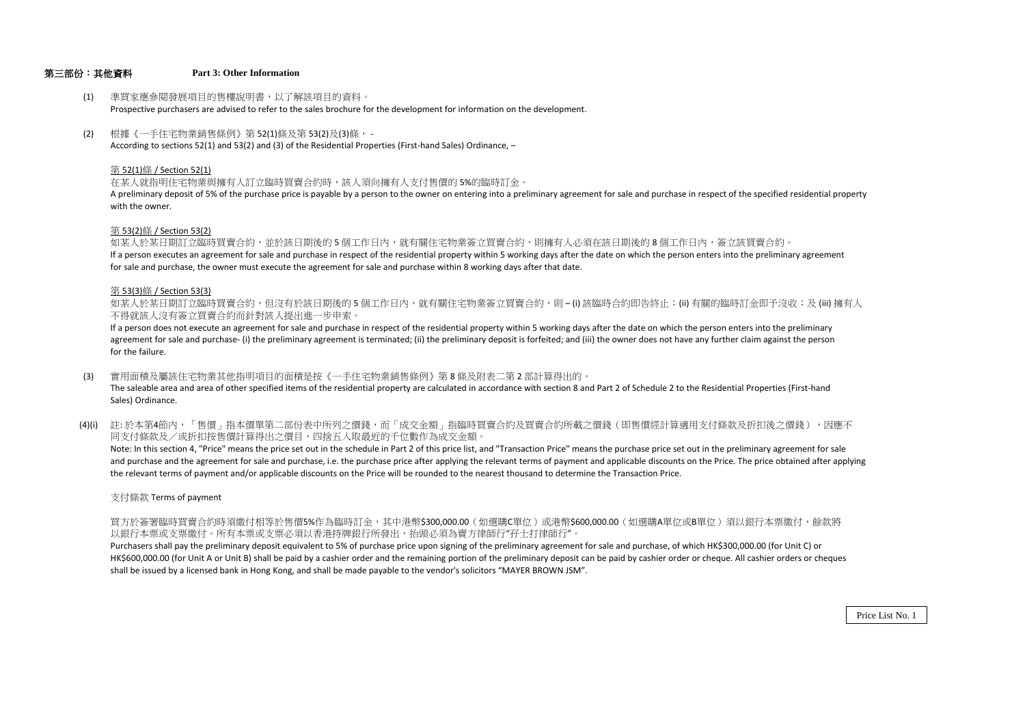### 第三部份:其他資料 **Part 3: Other Information**

- (1) 準買家應參閱發展項目的售樓說明書,以了解該項目的資料。 Prospective purchasers are advised to refer to the sales brochure for the development for information on the development.
- (2) 根據《一手住宅物業銷售條例》第 52(1)條及第 53(2)及(3)條, According to sections 52(1) and 53(2) and (3) of the Residential Properties (First-hand Sales) Ordinance, –

#### 第 52(1)條 / Section 52(1)

在某人就指明住宅物業與擁有人訂立臨時買賣合約時,該人須向擁有人支付售價的 5%的臨時訂金。

A preliminary deposit of 5% of the purchase price is payable by a person to the owner on entering into a preliminary agreement for sale and purchase in respect of the specified residential property with the owner.

#### 第 53(2)條 / Section 53(2)

如某人於某日期訂立臨時買賣合約,並於該日期後的5個工作日內,就有關住宅物業簽立買賣合約,則擁有人必須在該日期後的8個工作日內,答立該買賣合約。 If a person executes an agreement for sale and purchase in respect of the residential property within 5 working days after the date on which the person enters into the preliminary agreement for sale and purchase, the owner must execute the agreement for sale and purchase within 8 working days after that date.

#### 第 53(3)條 / Section 53(3)

如某人於某日期訂立臨時買賣合約,但沒有於該日期後的 5 個工作日内,就有關住宅物業簽立買賣合約,則 – (i) 該臨時合約即告終止;(ii) 有關的臨時訂金即予沒收;及 (iii) 擁有人 不得就該人沒有簽立買賣合約而針對該人提出進一步申索。

If a person does not execute an agreement for sale and purchase in respect of the residential property within 5 working days after the date on which the person enters into the preliminary agreement for sale and purchase- (i) the preliminary agreement is terminated; (ii) the preliminary deposit is forfeited; and (iii) the owner does not have any further claim against the person for the failure.

- (3) 實用面積及屬該住宅物業其他指明項目的面積是按《一手住宅物業銷售條例》第 8 條及附表二第 2 部計算得出的。 The saleable area and area of other specified items of the residential property are calculated in accordance with section 8 and Part 2 of Schedule 2 to the Residential Properties (First-hand Sales) Ordinance.
- (4)(i) 註:於本第4節内,「售價」指本價單第二部份表中所列之價錢,而「成交金額」指臨時買賣合約及買賣合約所載之價錢(即售價經計算適用支付條款及折扣後之價錢),因應不 同支付條款及/或折扣按售價計算得出之價目,四捨五入取最近的千位數作為成交金額。

Note: In this section 4, "Price" means the price set out in the schedule in Part 2 of this price list, and "Transaction Price" means the purchase price set out in the preliminary agreement for sale and purchase and the agreement for sale and purchase, i.e. the purchase price after applying the relevant terms of payment and applicable discounts on the Price. The price obtained after applying the relevant terms of payment and/or applicable discounts on the Price will be rounded to the nearest thousand to determine the Transaction Price.

支付條款 Terms of payment

買方於簽署臨時買賣合約時須繳付相等於售價5%作為臨時訂金,其中港幣\$300,000.00(如選購C單位)或港幣\$600,000.00(如選購A單位或B單位)須以銀行本票繳付,餘款將 以銀行本票或支票繳付。所有本票或支票必須以香港持牌銀行所發出,拍詞必須為賣方律師行"矸士打律師行"。

Purchasers shall pay the preliminary deposit equivalent to 5% of purchase price upon signing of the preliminary agreement for sale and purchase, of which HK\$300,000.00 (for Unit C) or HK\$600,000.00 (for Unit A or Unit B) shall be paid by a cashier order and the remaining portion of the preliminary deposit can be paid by cashier order or cheque. All cashier orders or cheques shall be issued by a licensed bank in Hong Kong, and shall be made payable to the vendor's solicitors "MAYER BROWN JSM".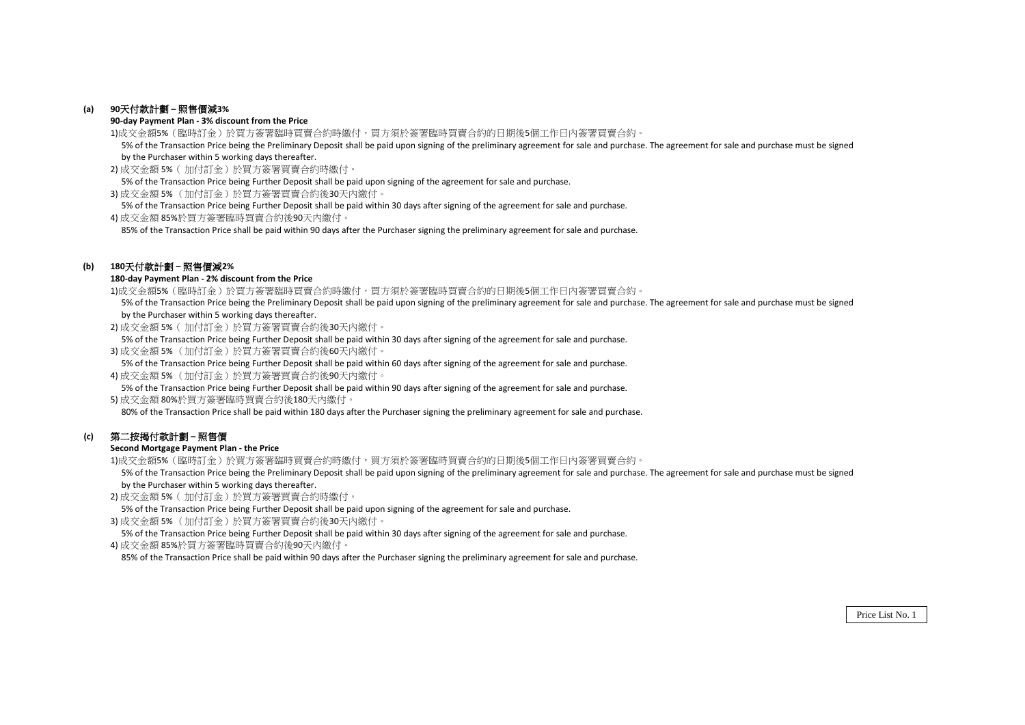# **(a) 90**天付款計劃 **–** 照售價減**3%**

#### **90-day Payment Plan - 3% discount from the Price**

1)成交金額5%(臨時訂金)於買方簽署臨時買賣合約時繳付,買方須於簽署臨時買賣合約的日期後5個工作日內簽署買賣合約。

5% of the Transaction Price being the Preliminary Deposit shall be paid upon signing of the preliminary agreement for sale and purchase. The agreement for sale and purchase must be signed by the Purchaser within 5 working days thereafter.

2) 成交金額 5%(加付訂金)於買方簽署買賣合約時繳付。

5% of the Transaction Price being Further Deposit shall be paid upon signing of the agreement for sale and purchase.

3) 成交金額 5% (加付訂金)於買方簽署買賣合約後30天內繳付。

5% of the Transaction Price being Further Deposit shall be paid within 30 days after signing of the agreement for sale and purchase.

4) 成交金額 85%於買方簽署臨時買賣合約後90天內繳付。

85% of the Transaction Price shall be paid within 90 days after the Purchaser signing the preliminary agreement for sale and purchase.

# **(b) 180**天付款計劃 **–** 照售價減**2%**

#### **180-day Payment Plan - 2% discount from the Price**

1)成交金額5%(臨時訂金)於買方簽署臨時買賣合約時繳付,買方須於簽署臨時買賣合約的日期後5個工作日內簽署買賣合約。

 5% of the Transaction Price being the Preliminary Deposit shall be paid upon signing of the preliminary agreement for sale and purchase. The agreement for sale and purchase must be signed by the Purchaser within 5 working days thereafter.

2) 成交金額 5%(加付訂金)於買方簽署買賣合約後30天內繳付。

5% of the Transaction Price being Further Deposit shall be paid within 30 days after signing of the agreement for sale and purchase.

3) 成交金額 5% (加付訂金)於買方簽署買賣合約後60天內繳付。

5% of the Transaction Price being Further Deposit shall be paid within 60 days after signing of the agreement for sale and purchase.

4) 成交金額 5% (加付訂金)於買方簽署買賣合約後90天內繳付。

5% of the Transaction Price being Further Deposit shall be paid within 90 days after signing of the agreement for sale and purchase.

5) 成交金額 80%於買方簽署臨時買賣合約後180天內繳付。

80% of the Transaction Price shall be paid within 180 days after the Purchaser signing the preliminary agreement for sale and purchase.

# **(c)** 第二按揭付款計劃 **–** 照售價

### **Second Mortgage Payment Plan - the Price**

1)成交金額5%(臨時訂金)於買方簽署臨時買賣合約時繳付,買方須於簽署臨時買賣合約的日期後5個工作日內簽署買賣合約。

5% of the Transaction Price being the Preliminary Deposit shall be paid upon signing of the preliminary agreement for sale and purchase. The agreement for sale and purchase must be signed by the Purchaser within 5 working days thereafter.

2) 成交金額 5%( 加付訂金)於買方簽署買賣合約時繳付。

5% of the Transaction Price being Further Deposit shall be paid upon signing of the agreement for sale and purchase.

3) 成交金額 5% (加付訂金)於買方簽署買賣合約後30天內繳付。

5% of the Transaction Price being Further Deposit shall be paid within 30 days after signing of the agreement for sale and purchase.

4) 成交金額 85%於買方簽署臨時買賣合約後90天內繳付。

85% of the Transaction Price shall be paid within 90 days after the Purchaser signing the preliminary agreement for sale and purchase.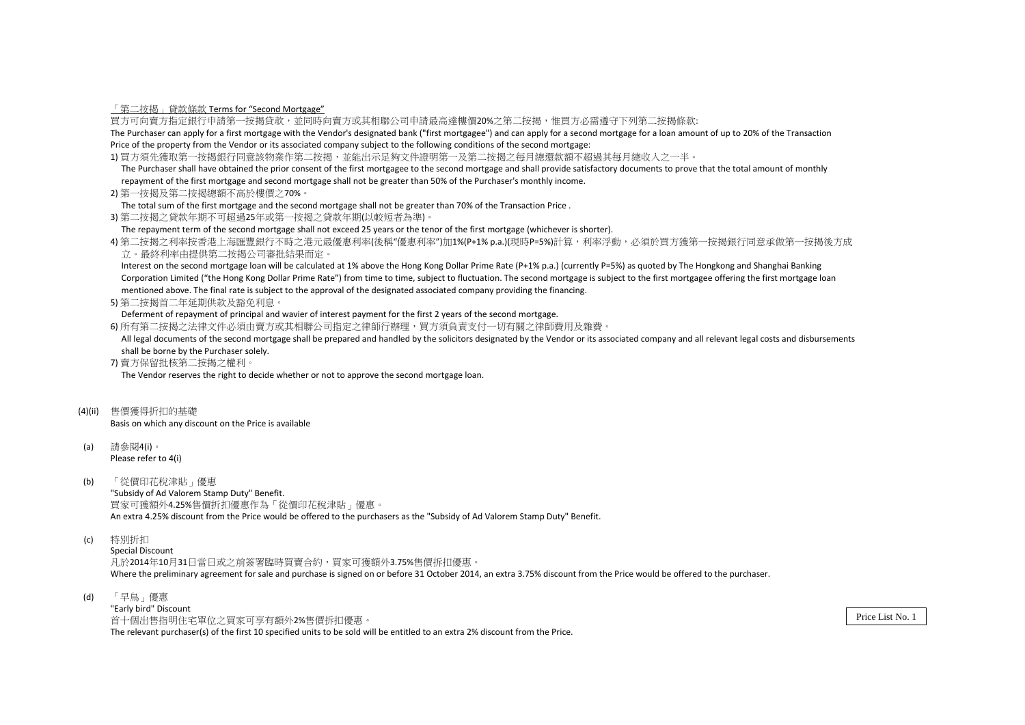「第二按揭」貸款條款 Terms for "Second Mortgage"

買方可向賣方指定銀行申請第一按揭貸款,並同時向賣方或其相聯公司申請最高達樓價20%之第二按揭,惟買方必需遵守下列第二按揭條款:

The Purchaser can apply for a first mortgage with the Vendor's designated bank ("first mortgagee") and can apply for a second mortgage for a loan amount of up to 20% of the Transaction Price of the property from the Vendor or its associated company subject to the following conditions of the second mortgage:

1) 買方須先獲取第一按揭銀行同意該物業作第二按揭,並能出示足夠文件證明第一及第二按揭之每月總還款額不超過其每月總收入之一半。

 The Purchaser shall have obtained the prior consent of the first mortgagee to the second mortgage and shall provide satisfactory documents to prove that the total amount of monthly repayment of the first mortgage and second mortgage shall not be greater than 50% of the Purchaser's monthly income.

2) 第一按揭及第二按揭總額不高於樓價之70%。

The total sum of the first mortgage and the second mortgage shall not be greater than 70% of the Transaction Price .

3) 第二按揭之貸款年期不可超過25年或第一按揭之貸款年期(以較短者為準)。

The repayment term of the second mortgage shall not exceed 25 years or the tenor of the first mortgage (whichever is shorter).

4) 第二按揭之利率按香港上海匯豐銀行不時之港元最優惠利率(後稱"優惠利率")加1%(P+1% p.a.)(現時P=5%)計算,利率浮動,必須於買方獲第一按揭銀行同意承做第一按揭後方成 立。最終利率由提供第二按揭公司審批結果而定。

 Interest on the second mortgage loan will be calculated at 1% above the Hong Kong Dollar Prime Rate (P+1% p.a.) (currently P=5%) as quoted by The Hongkong and Shanghai Banking Corporation Limited ("the Hong Kong Dollar Prime Rate") from time to time, subject to fluctuation. The second mortgage is subject to the first mortgagee offering the first mortgage loan mentioned above. The final rate is subject to the approval of the designated associated company providing the financing.

5) 第二按揭首二年延期供款及豁免利息。

Deferment of repayment of principal and wavier of interest payment for the first 2 years of the second mortgage.

6) 所有第二按揭之法律文件必須由賣方或其相聯公司指定之律師行辦理,買方須負責支付一切有關之律師費用及雜費。

All legal documents of the second mortgage shall be prepared and handled by the solicitors designated by the Vendor or its associated company and all relevant legal costs and disbursements shall be borne by the Purchaser solely.

7) 賣方保留批核第二按揭之權利。

The Vendor reserves the right to decide whether or not to approve the second mortgage loan.

(4)(ii) 售價獲得折扣的基礎

Basis on which any discount on the Price is available

- (a) 請參閱4(i)。 Please refer to 4(i)
- (b) 「從價印花稅津貼」優惠

"Subsidy of Ad Valorem Stamp Duty" Benefit. 買家可獲額外4.25%售價折扣優惠作為「從價印花稅津貼」優惠。 An extra 4.25% discount from the Price would be offered to the purchasers as the "Subsidy of Ad Valorem Stamp Duty" Benefit.

(c) 特別折扣

Special Discount 凡於2014年10月31日當日或之前簽署臨時買賣合約,買家可獲額外3.75%售價拆扣優惠。 Where the preliminary agreement for sale and purchase is signed on or before 31 October 2014, an extra 3.75% discount from the Price would be offered to the purchaser.

(d) 「早鳥」優惠 "Early bird" Discount 首十個出售指明住宅單位之買家可享有額外2%售價拆扣優惠。 The relevant purchaser(s) of the first 10 specified units to be sold will be entitled to an extra 2% discount from the Price.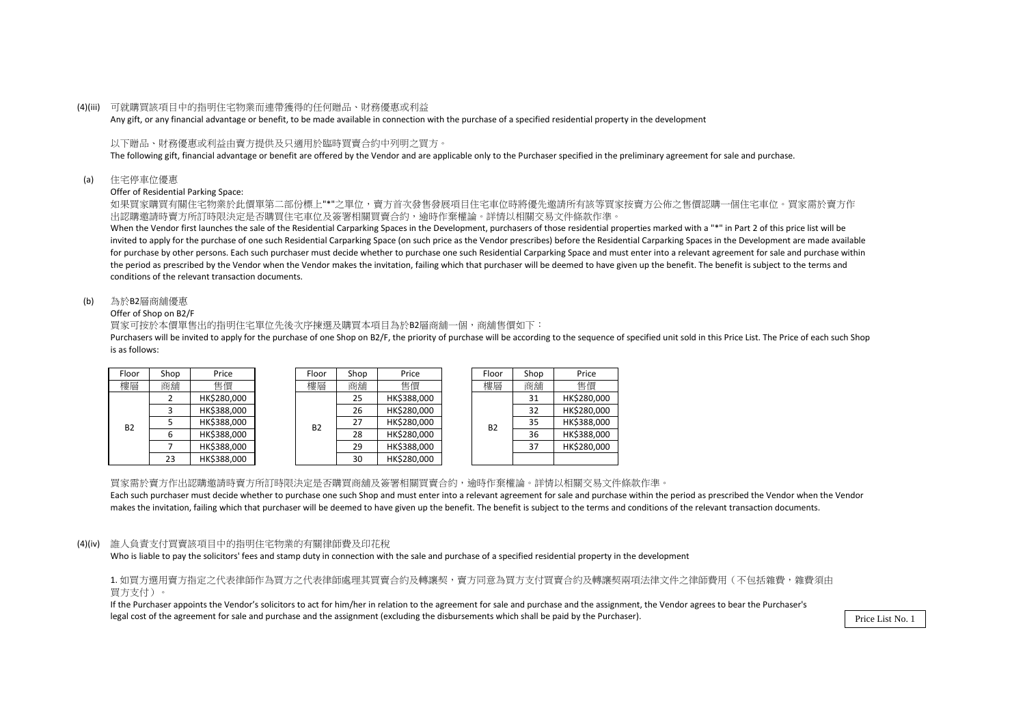#### (4)(iii) 可就購買該項目中的指明住宅物業而連帶獲得的任何贈品、財務優惠或利益

Any gift, or any financial advantage or benefit, to be made available in connection with the purchase of a specified residential property in the development

### 以下贈品、財務優惠或利益由賣方提供及只適用於臨時買賣合約中列明之買方。

The following gift, financial advantage or benefit are offered by the Vendor and are applicable only to the Purchaser specified in the preliminary agreement for sale and purchase.

(a) 住宅停車位優惠

Offer of Residential Parking Space:

如果買家購買有關住宅物業於此價單第二部份標上"\*"之單位,賣方首次發售發展項目住宅車位時將優先邀請所有該等買家按賣方公佈之售價認購一個住宅車位。買家需於賣方作 出認購邀請時賣方所訂時限決定是否購買住宅車位及簽署相關買賣合約,逾時作棄權論。詳情以相關交易文件條款作準。

When the Vendor first launches the sale of the Residential Carparking Spaces in the Development, purchasers of those residential properties marked with a "\*" in Part 2 of this price list will be invited to apply for the purchase of one such Residential Carparking Space (on such price as the Vendor prescribes) before the Residential Carparking Spaces in the Development are made available for purchase by other persons. Each such purchaser must decide whether to purchase one such Residential Carparking Space and must enter into a relevant agreement for sale and purchase within the period as prescribed by the Vendor when the Vendor makes the invitation, failing which that purchaser will be deemed to have given up the benefit. The benefit is subject to the terms and conditions of the relevant transaction documents.

#### (b) 為於B2層商舖優惠

#### Offer of Shop on B2/F

買家可按於本價單售出的指明住宅單位先後次序揀選及購買本項目為於B2層商舖一個,商舖售價如下:

Purchasers will be invited to apply for the purchase of one Shop on B2/F, the priority of purchase will be according to the sequence of specified unit sold in this Price List. The Price of each such Shop is as follows:

| Floor     | Shop        | Price       |  | Floor     | Shop        | Price       |  | Floor     | Shop     | Price    |
|-----------|-------------|-------------|--|-----------|-------------|-------------|--|-----------|----------|----------|
| 樓層        | 商舖          | 售價          |  | 樓層        | 商舖          | 售價          |  | 樓層        | 商舖       | 售價       |
|           | HK\$280.000 |             |  | 25        | HK\$388,000 |             |  | 31        | HK\$280, |          |
|           |             | HK\$388,000 |  | <b>B2</b> | 26          | HK\$280,000 |  | <b>B2</b> | 32       | HK\$280, |
| <b>B2</b> |             | HK\$388,000 |  |           | 27          | HK\$280,000 |  |           | 35       | HK\$388, |
|           | 6           | HK\$388,000 |  |           | 28          | HK\$280,000 |  |           | 36       | HK\$388, |
|           |             | HK\$388.000 |  | 29        | HK\$388,000 |             |  | 37        | HK\$280, |          |
|           | 23          | HK\$388,000 |  |           | 30          | HK\$280,000 |  |           |          |          |

| op | Price       | Floor     | Shop              | Price       |    | Floor       | Shop | Price       |
|----|-------------|-----------|-------------------|-------------|----|-------------|------|-------------|
| 舖  | 售價          | 樓層        | 商舖                | 售價          |    | 樓層          | 商舖   | 售價          |
| 2  | HK\$280,000 |           | 25                | HK\$388,000 |    |             | 31   | HK\$280,000 |
| 3  | HK\$388,000 |           | HK\$280,000<br>26 |             | 32 | HK\$280,000 |      |             |
| 5  | HK\$388,000 | <b>B2</b> | 27                | HK\$280,000 |    | <b>B2</b>   | 35   | HK\$388,000 |
| 6  | HK\$388,000 |           | 28                | HK\$280,000 |    |             | 36   | HK\$388,000 |
|    | HK\$388,000 |           | 29                | HK\$388,000 |    |             | 37   | HK\$280,000 |
| 23 | HK\$388,000 |           | 30                | HK\$280,000 |    |             |      |             |

買家需於賣方作出認購邀請時賣方所訂時限決定是否購買商舖及簽署相關買賣合約,逾時作棄權論。詳情以相關交易文件條款作準。 Each such purchaser must decide whether to purchase one such Shop and must enter into a relevant agreement for sale and purchase within the period as prescribed the Vendor when the Vendor makes the invitation, failing which that purchaser will be deemed to have given up the benefit. The benefit is subject to the terms and conditions of the relevant transaction documents.

### (4)(iv) 誰人負責支付買賣該項目中的指明住宅物業的有關律師費及印花稅

Who is liable to pay the solicitors' fees and stamp duty in connection with the sale and purchase of a specified residential property in the development

1. 如買方選用賣方指定之代表律師作為買方之代表律師處理其買賣合約及轉讓契,賣方同意為買方支付買賣合約及轉讓契兩項法律文件之律師費用(不包括雜費,雜費須由 買方支付)。

If the Purchaser appoints the Vendor's solicitors to act for him/her in relation to the agreement for sale and purchase and the assignment, the Vendor agrees to bear the Purchaser's legal cost of the agreement for sale and purchase and the assignment (excluding the disbursements which shall be paid by the Purchaser).